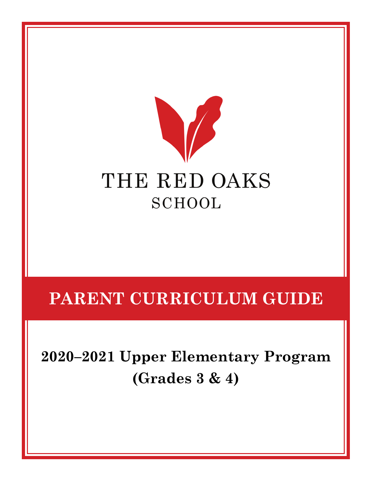

# **PARENT CURRICULUM GUIDE**

**2020–2021 Upper Elementary Program (Grades 3 & 4)**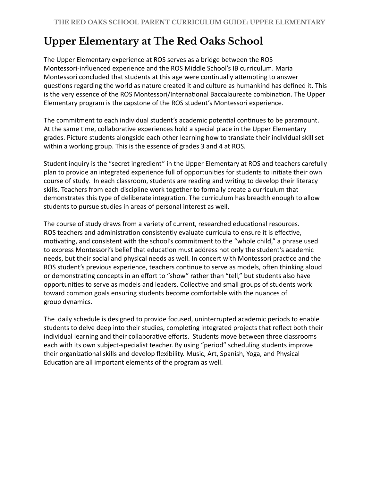# **Upper Elementary at The Red Oaks School**

The Upper Elementary experience at ROS serves as a bridge between the ROS Montessori-influenced experience and the ROS Middle School's IB curriculum. Maria Montessori concluded that students at this age were continually attempting to answer questions regarding the world as nature created it and culture as humankind has defined it. This is the very essence of the ROS Montessori/International Baccalaureate combination. The Upper Elementary program is the capstone of the ROS student's Montessori experience.

The commitment to each individual student's academic potential continues to be paramount. At the same time, collaborative experiences hold a special place in the Upper Elementary grades. Picture students alongside each other learning how to translate their individual skill set within a working group. This is the essence of grades 3 and 4 at ROS.

Student inquiry is the "secret ingredient" in the Upper Elementary at ROS and teachers carefully plan to provide an integrated experience full of opportunities for students to initiate their own course of study. In each classroom, students are reading and writing to develop their literacy skills. Teachers from each discipline work together to formally create a curriculum that demonstrates this type of deliberate integration. The curriculum has breadth enough to allow students to pursue studies in areas of personal interest as well.

The course of study draws from a variety of current, researched educational resources. ROS teachers and administration consistently evaluate curricula to ensure it is effective, motivating, and consistent with the school's commitment to the "whole child," a phrase used to express Montessori's belief that education must address not only the student's academic needs, but their social and physical needs as well. In concert with Montessori practice and the ROS student's previous experience, teachers continue to serve as models, often thinking aloud or demonstrating concepts in an effort to "show" rather than "tell," but students also have opportunities to serve as models and leaders. Collective and small groups of students work toward common goals ensuring students become comfortable with the nuances of group dynamics.

The daily schedule is designed to provide focused, uninterrupted academic periods to enable students to delve deep into their studies, completing integrated projects that reflect both their individual learning and their collaborative efforts. Students move between three classrooms each with its own subject-specialist teacher. By using "period" scheduling students improve their organizational skills and develop flexibility. Music, Art, Spanish, Yoga, and Physical Education are all important elements of the program as well.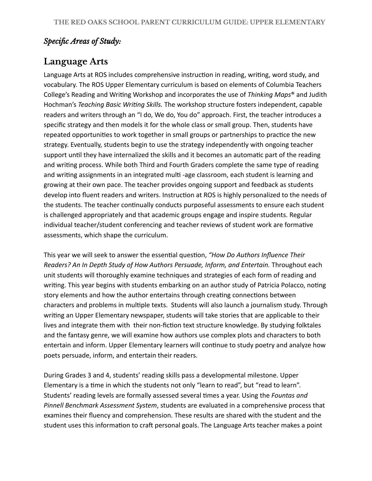#### *Specific Areas of Study:*

#### **Language Arts**

Language Arts at ROS includes comprehensive instruction in reading, writing, word study, and vocabulary. The ROS Upper Elementary curriculum is based on elements of Columbia Teachers College's Reading and Writing Workshop and incorporates the use of *Thinking Maps*<sup>®</sup> and Judith Hochman's *Teaching Basic Wring Skills.* The workshop structure fosters independent, capable readers and writers through an "I do, We do, You do" approach. First, the teacher introduces a specific strategy and then models it for the whole class or small group. Then, students have repeated opportunities to work together in small groups or partnerships to practice the new strategy. Eventually, students begin to use the strategy independently with ongoing teacher support until they have internalized the skills and it becomes an automatic part of the reading and writing process. While both Third and Fourth Graders complete the same type of reading and writing assignments in an integrated multi-age classroom, each student is learning and growing at their own pace. The teacher provides ongoing support and feedback as students develop into fluent readers and writers. Instruction at ROS is highly personalized to the needs of the students. The teacher continually conducts purposeful assessments to ensure each student is challenged appropriately and that academic groups engage and inspire students. Regular individual teacher/student conferencing and teacher reviews of student work are formative assessments, which shape the curriculum.

This year we will seek to answer the essential question, "How Do Authors Influence Their *Readers? An In Depth Study of How Authors Persuade, Inform, and Entertain.* Throughout each unit students will thoroughly examine techniques and strategies of each form of reading and writing. This year begins with students embarking on an author study of Patricia Polacco, noting story elements and how the author entertains through creating connections between characters and problems in multiple texts. Students will also launch a journalism study. Through writing an Upper Elementary newspaper, students will take stories that are applicable to their lives and integrate them with their non-fiction text structure knowledge. By studying folktales and the fantasy genre, we will examine how authors use complex plots and characters to both entertain and inform. Upper Elementary learners will continue to study poetry and analyze how poets persuade, inform, and entertain their readers.

During Grades 3 and 4, students' reading skills pass a developmental milestone. Upper Elementary is a time in which the students not only "learn to read", but "read to learn". Students' reading levels are formally assessed several times a year. Using the *Fountas and Pinnell Benchmark Assessment System* , students are evaluated in a comprehensive process that examines their fluency and comprehension. These results are shared with the student and the student uses this information to craft personal goals. The Language Arts teacher makes a point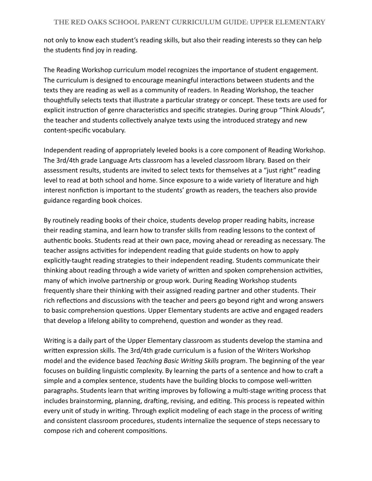not only to know each student's reading skills, but also their reading interests so they can help the students find joy in reading.

The Reading Workshop curriculum model recognizes the importance of student engagement. The curriculum is designed to encourage meaningful interactions between students and the texts they are reading as well as a community of readers. In Reading Workshop, the teacher thoughtfully selects texts that illustrate a particular strategy or concept. These texts are used for explicit instruction of genre characteristics and specific strategies. During group "Think Alouds", the teacher and students collectively analyze texts using the introduced strategy and new content-specific vocabulary.

Independent reading of appropriately leveled books is a core component of Reading Workshop. The 3rd/4th grade Language Arts classroom has a leveled classroom library. Based on their assessment results, students are invited to select texts for themselves at a "just right" reading level to read at both school and home. Since exposure to a wide variety of literature and high interest nonfiction is important to the students' growth as readers, the teachers also provide guidance regarding book choices.

By routinely reading books of their choice, students develop proper reading habits, increase their reading stamina, and learn how to transfer skills from reading lessons to the context of authentic books. Students read at their own pace, moving ahead or rereading as necessary. The teacher assigns activities for independent reading that guide students on how to apply explicitly-taught reading strategies to their independent reading. Students communicate their thinking about reading through a wide variety of written and spoken comprehension activities, many of which involve partnership or group work. During Reading Workshop students frequently share their thinking with their assigned reading partner and other students. Their rich reflections and discussions with the teacher and peers go beyond right and wrong answers to basic comprehension questions. Upper Elementary students are active and engaged readers that develop a lifelong ability to comprehend, question and wonder as they read.

Writing is a daily part of the Upper Elementary classroom as students develop the stamina and written expression skills. The 3rd/4th grade curriculum is a fusion of the Writers Workshop model and the evidence based *Teaching Basic Wring Skills* program. The beginning of the year focuses on building linguistic complexity. By learning the parts of a sentence and how to craft a simple and a complex sentence, students have the building blocks to compose well-written paragraphs. Students learn that writing improves by following a multi-stage writing process that includes brainstorming, planning, drafting, revising, and editing. This process is repeated within every unit of study in writing. Through explicit modeling of each stage in the process of writing and consistent classroom procedures, students internalize the sequence of steps necessary to compose rich and coherent compositions.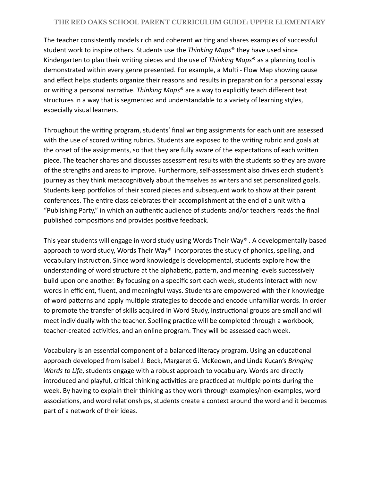#### **THE RED OAKS SCHOOL PARENT CURRICULUM GUIDE: UPPER ELEMENTARY**

The teacher consistently models rich and coherent writing and shares examples of successful student work to inspire others. Students use the *Thinking Maps* ® they have used since Kindergarten to plan their writing pieces and the use of *Thinking Maps*<sup>®</sup> as a planning tool is demonstrated within every genre presented. For example, a Multi - Flow Map showing cause and effect helps students organize their reasons and results in preparation for a personal essay or writing a personal narrative. *Thinking Maps<sup>®</sup>* are a way to explicitly teach different text structures in a way that is segmented and understandable to a variety of learning styles, especially visual learners.

Throughout the writing program, students' final writing assignments for each unit are assessed with the use of scored writing rubrics. Students are exposed to the writing rubric and goals at the onset of the assignments, so that they are fully aware of the expectations of each written piece. The teacher shares and discusses assessment results with the students so they are aware of the strengths and areas to improve. Furthermore, self-assessment also drives each student's journey as they think metacognitively about themselves as writers and set personalized goals. Students keep portfolios of their scored pieces and subsequent work to show at their parent conferences. The entire class celebrates their accomplishment at the end of a unit with a "Publishing Party," in which an authentic audience of students and/or teachers reads the final published compositions and provides positive feedback.

This year students will engage in word study using Words Their Way *® .* A developmentally based approach to word study, Words Their Way<sup>®</sup> incorporates the study of phonics, spelling, and vocabulary instruction. Since word knowledge is developmental, students explore how the understanding of word structure at the alphabetic, pattern, and meaning levels successively build upon one another. By focusing on a specific sort each week, students interact with new words in efficient, fluent, and meaningful ways. Students are empowered with their knowledge of word patterns and apply multiple strategies to decode and encode unfamiliar words. In order to promote the transfer of skills acquired in Word Study, instructional groups are small and will meet individually with the teacher. Spelling practice will be completed through a workbook, teacher-created activities, and an online program. They will be assessed each week.

Vocabulary is an essential component of a balanced literacy program. Using an educational approach developed from Isabel J. Beck, Margaret G. McKeown, and Linda Kucan's *Bringing Words to Life*, students engage with a robust approach to vocabulary. Words are directly introduced and playful, critical thinking activities are practiced at multiple points during the week. By having to explain their thinking as they work through examples/non-examples, word associations, and word relationships, students create a context around the word and it becomes part of a network of their ideas.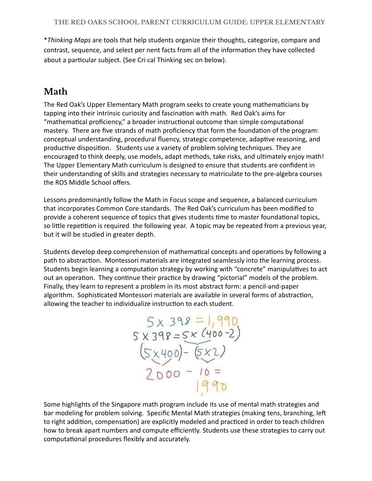\* *Thinking Maps* are tools that help students organize their thoughts, categorize, compare and contrast, sequence, and select per nent facts from all of the information they have collected about a particular subject. (See Cri cal Thinking sec on below).

## **Math**

The Red Oak's Upper Elementary Math program seeks to create young mathematicians by tapping into their intrinsic curiosity and fascination with math. Red Oak's aims for "mathematical proficiency," a broader instructional outcome than simple computational mastery. There are five strands of math proficiency that form the foundation of the program: conceptual understanding, procedural fluency, strategic competence, adaptive reasoning, and productive disposition. Students use a variety of problem solving techniques. They are encouraged to think deeply, use models, adapt methods, take risks, and ultimately enjoy math! The Upper Elementary Math curriculum is designed to ensure that students are confident in their understanding of skills and strategies necessary to matriculate to the pre-algebra courses the ROS Middle School offers.

Lessons predominantly follow the Math in Focus scope and sequence, a balanced curriculum that incorporates Common Core standards. The Red Oak's curriculum has been modified to provide a coherent sequence of topics that gives students time to master foundational topics, so little repetition is required the following year. A topic may be repeated from a previous year, but it will be studied in greater depth.

Students develop deep comprehension of mathematical concepts and operations by following a path to abstraction. Montessori materials are integrated seamlessly into the learning process. Students begin learning a computation strategy by working with "concrete" manipulatives to act out an operation. They continue their practice by drawing "pictorial" models of the problem. Finally, they learn to represent a problem in its most abstract form: a pencil-and-paper algorithm. Sophisticated Montessori materials are available in several forms of abstraction, allowing the teacher to individualize instruction to each student.

 $5x 398 = 1,990$ <br>  $5x 398 = 5x (400 - 2)$ <br>  $(5x400) - (5x2)$ <br>  $2000 - 10 = 1990$ 

Some highlights of the Singapore math program include its use of mental math strategies and bar modeling for problem solving. Specific Mental Math strategies (making tens, branching, le to right addition, compensation) are explicitly modeled and practiced in order to teach children how to break apart numbers and compute efficiently. Students use these strategies to carry out computational procedures flexibly and accurately.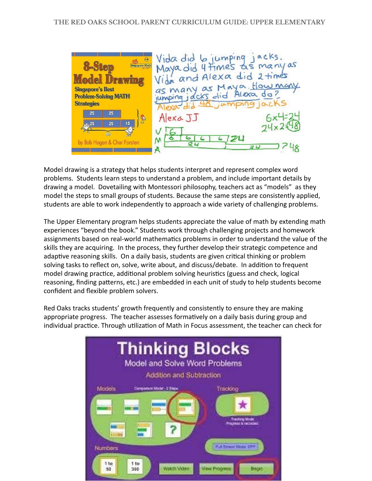Vida did 6 jumping jacks.<br>Maya did 4 times as many as<br>Vida and Alexa did 2 times  $\bigcap$ **8-Step** as many as Maya, How many **Singapore's Best Problem-Solving MATH** jumping jacks  $e<sup>11</sup>$ **Strategies** 25 25 Alexa JJ 25 15 N by Bob Hogan & Char Forsten 21

Model drawing is a strategy that helps students interpret and represent complex word problems. Students learn steps to understand a problem, and include important details by drawing a model. Dovetailing with Montessori philosophy, teachers act as "models" as they model the steps to small groups of students. Because the same steps are consistently applied, students are able to work independently to approach a wide variety of challenging problems.

The Upper Elementary program helps students appreciate the value of math by extending math experiences "beyond the book." Students work through challenging projects and homework assignments based on real-world mathematics problems in order to understand the value of the skills they are acquiring. In the process, they further develop their strategic competence and adaptive reasoning skills. On a daily basis, students are given critical thinking or problem solving tasks to reflect on, solve, write about, and discuss/debate. In addition to frequent model drawing practice, additional problem solving heuristics (guess and check, logical reasoning, finding patterns, etc.) are embedded in each unit of study to help students become confident and flexible problem solvers.

Red Oaks tracks students' growth frequently and consistently to ensure they are making appropriate progress. The teacher assesses formatively on a daily basis during group and individual practice. Through utilization of Math in Focus assessment, the teacher can check for

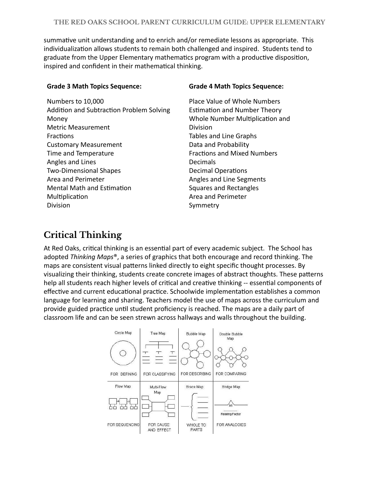summative unit understanding and to enrich and/or remediate lessons as appropriate. This individualization allows students to remain both challenged and inspired. Students tend to graduate from the Upper Elementary mathematics program with a productive disposition, inspired and confident in their mathematical thinking.

| Numbers to 10,000                        |
|------------------------------------------|
| Addition and Subtraction Problem Solving |
| Money                                    |
| Metric Measurement                       |
| Fractions                                |
| <b>Customary Measurement</b>             |
| Time and Temperature                     |
| Angles and Lines                         |
| <b>Two-Dimensional Shapes</b>            |
| Area and Perimeter                       |
| <b>Mental Math and Estimation</b>        |
| Multiplication                           |
| Division                                 |

#### **Grade 3 Math Topics Sequence: Grade 4 Math Topics Sequence:**

Place Value of Whole Numbers Estimation and Number Theory Whole Number Multiplication and Division Tables and Line Graphs Data and Probability Fractions and Mixed Numbers Decimals **Decimal Operations** Angles and Line Segments Squares and Rectangles Area and Perimeter Symmetry

#### **Critical Thinking**

At Red Oaks, critical thinking is an essential part of every academic subject. The School has adopted *Thinking Maps<sup>®</sup>*, a series of graphics that both encourage and record thinking. The maps are consistent visual patterns linked directly to eight specific thought processes. By visualizing their thinking, students create concrete images of abstract thoughts. These patterns help all students reach higher levels of critical and creative thinking -- essential components of effective and current educational practice. Schoolwide implementation establishes a common language for learning and sharing. Teachers model the use of maps across the curriculum and provide guided practice until student proficiency is reached. The maps are a daily part of classroom life and can be seen strewn across hallways and walls throughout the building.

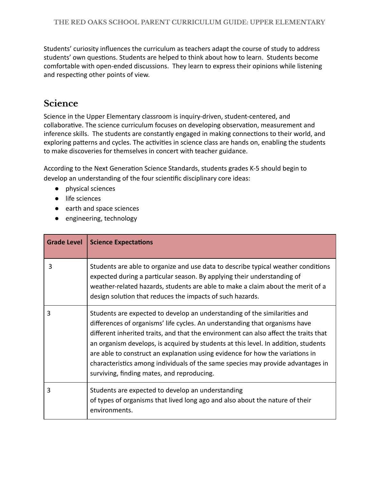Students' curiosity influences the curriculum as teachers adapt the course of study to address students' own questions. Students are helped to think about how to learn. Students become comfortable with open-ended discussions. They learn to express their opinions while listening and respecting other points of view.

#### **Science**

Science in the Upper Elementary classroom is inquiry-driven, student-centered, and collaborative. The science curriculum focuses on developing observation, measurement and inference skills. The students are constantly engaged in making connections to their world, and exploring patterns and cycles. The activities in science class are hands on, enabling the students to make discoveries for themselves in concert with teacher guidance.

According to the Next Generation Science Standards, students grades K-5 should begin to develop an understanding of the four scientific disciplinary core ideas:

- physical sciences
- life sciences
- earth and space sciences
- engineering, technology

| <b>Grade Level</b> | <b>Science Expectations</b>                                                                                                                                                                                                                                                                                                                                                                                                                                                                                                                              |
|--------------------|----------------------------------------------------------------------------------------------------------------------------------------------------------------------------------------------------------------------------------------------------------------------------------------------------------------------------------------------------------------------------------------------------------------------------------------------------------------------------------------------------------------------------------------------------------|
| 3                  | Students are able to organize and use data to describe typical weather conditions<br>expected during a particular season. By applying their understanding of<br>weather-related hazards, students are able to make a claim about the merit of a<br>design solution that reduces the impacts of such hazards.                                                                                                                                                                                                                                             |
| 3                  | Students are expected to develop an understanding of the similarities and<br>differences of organisms' life cycles. An understanding that organisms have<br>different inherited traits, and that the environment can also affect the traits that<br>an organism develops, is acquired by students at this level. In addition, students<br>are able to construct an explanation using evidence for how the variations in<br>characteristics among individuals of the same species may provide advantages in<br>surviving, finding mates, and reproducing. |
| 3                  | Students are expected to develop an understanding<br>of types of organisms that lived long ago and also about the nature of their<br>environments.                                                                                                                                                                                                                                                                                                                                                                                                       |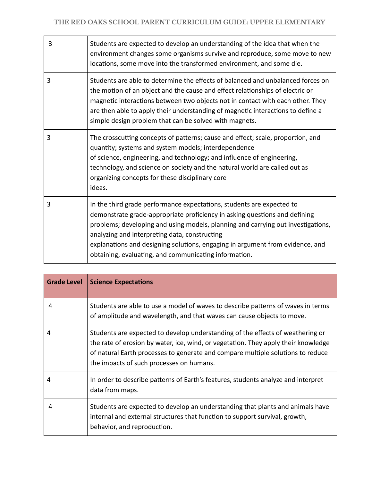| 3 | Students are expected to develop an understanding of the idea that when the<br>environment changes some organisms survive and reproduce, some move to new<br>locations, some move into the transformed environment, and some die.                                                                                                                                                                                                  |
|---|------------------------------------------------------------------------------------------------------------------------------------------------------------------------------------------------------------------------------------------------------------------------------------------------------------------------------------------------------------------------------------------------------------------------------------|
| 3 | Students are able to determine the effects of balanced and unbalanced forces on<br>the motion of an object and the cause and effect relationships of electric or<br>magnetic interactions between two objects not in contact with each other. They<br>are then able to apply their understanding of magnetic interactions to define a<br>simple design problem that can be solved with magnets.                                    |
| 3 | The crosscutting concepts of patterns; cause and effect; scale, proportion, and<br>quantity; systems and system models; interdependence<br>of science, engineering, and technology; and influence of engineering,<br>technology, and science on society and the natural world are called out as<br>organizing concepts for these disciplinary core<br>ideas.                                                                       |
| 3 | In the third grade performance expectations, students are expected to<br>demonstrate grade-appropriate proficiency in asking questions and defining<br>problems; developing and using models, planning and carrying out investigations,<br>analyzing and interpreting data, constructing<br>explanations and designing solutions, engaging in argument from evidence, and<br>obtaining, evaluating, and communicating information. |

| <b>Grade Level</b> | <b>Science Expectations</b>                                                                                                                                                                                                                                                                         |
|--------------------|-----------------------------------------------------------------------------------------------------------------------------------------------------------------------------------------------------------------------------------------------------------------------------------------------------|
| 4                  | Students are able to use a model of waves to describe patterns of waves in terms<br>of amplitude and wavelength, and that waves can cause objects to move.                                                                                                                                          |
| 4                  | Students are expected to develop understanding of the effects of weathering or<br>the rate of erosion by water, ice, wind, or vegetation. They apply their knowledge<br>of natural Earth processes to generate and compare multiple solutions to reduce<br>the impacts of such processes on humans. |
| 4                  | In order to describe patterns of Earth's features, students analyze and interpret<br>data from maps.                                                                                                                                                                                                |
| 4                  | Students are expected to develop an understanding that plants and animals have<br>internal and external structures that function to support survival, growth,<br>behavior, and reproduction.                                                                                                        |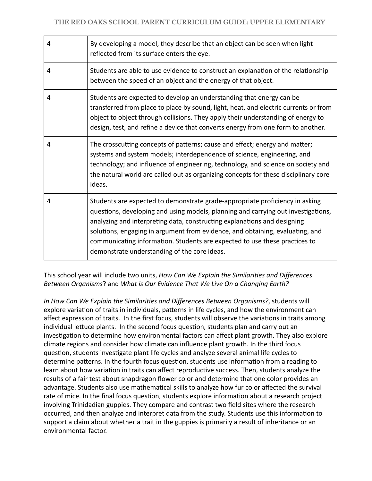| 4 | By developing a model, they describe that an object can be seen when light<br>reflected from its surface enters the eye.                                                                                                                                                                                                                                                                                                                                     |
|---|--------------------------------------------------------------------------------------------------------------------------------------------------------------------------------------------------------------------------------------------------------------------------------------------------------------------------------------------------------------------------------------------------------------------------------------------------------------|
| 4 | Students are able to use evidence to construct an explanation of the relationship<br>between the speed of an object and the energy of that object.                                                                                                                                                                                                                                                                                                           |
| 4 | Students are expected to develop an understanding that energy can be<br>transferred from place to place by sound, light, heat, and electric currents or from<br>object to object through collisions. They apply their understanding of energy to<br>design, test, and refine a device that converts energy from one form to another.                                                                                                                         |
| 4 | The crosscutting concepts of patterns; cause and effect; energy and matter;<br>systems and system models; interdependence of science, engineering, and<br>technology; and influence of engineering, technology, and science on society and<br>the natural world are called out as organizing concepts for these disciplinary core<br>ideas.                                                                                                                  |
| 4 | Students are expected to demonstrate grade-appropriate proficiency in asking<br>questions, developing and using models, planning and carrying out investigations,<br>analyzing and interpreting data, constructing explanations and designing<br>solutions, engaging in argument from evidence, and obtaining, evaluating, and<br>communicating information. Students are expected to use these practices to<br>demonstrate understanding of the core ideas. |

This school year will include two units, *How Can We Explain the Similaries and Differences Between Organisms* ? and *What is Our Evidence That We Live On a Changing Earth?* 

In How Can We Explain the Similarities and Differences Between Organisms?, students will explore variation of traits in individuals, patterns in life cycles, and how the environment can affect expression of traits. In the first focus, students will observe the variations in traits among individual lettuce plants. In the second focus question, students plan and carry out an investigation to determine how environmental factors can affect plant growth. They also explore climate regions and consider how climate can influence plant growth. In the third focus question, students investigate plant life cycles and analyze several animal life cycles to determine patterns. In the fourth focus question, students use information from a reading to learn about how variation in traits can affect reproductive success. Then, students analyze the results of a fair test about snapdragon flower color and determine that one color provides an advantage. Students also use mathematical skills to analyze how fur color affected the survival rate of mice. In the final focus question, students explore information about a research project involving Trinidadian guppies. They compare and contrast two field sites where the research occurred, and then analyze and interpret data from the study. Students use this information to support a claim about whether a trait in the guppies is primarily a result of inheritance or an environmental factor.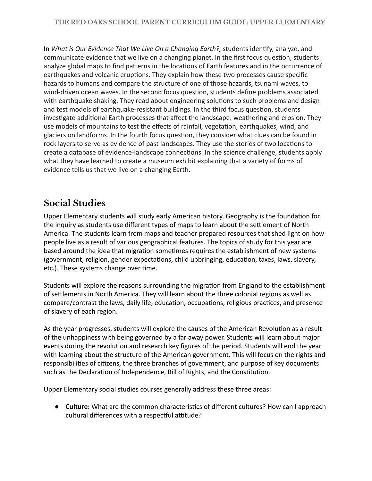In *What is Our Evidence That We Live On a Changing Earth?,* students identify, analyze, and communicate evidence that we live on a changing planet. In the first focus question, students analyze global maps to find patterns in the locations of Earth features and in the occurrence of earthquakes and volcanic eruptions. They explain how these two processes cause specific hazards to humans and compare the structure of one of those hazards, tsunami waves, to wind-driven ocean waves. In the second focus question, students define problems associated with earthquake shaking. They read about engineering solutions to such problems and design and test models of earthquake-resistant buildings. In the third focus question, students investigate additional Earth processes that affect the landscape: weathering and erosion. They use models of mountains to test the effects of rainfall, vegetation, earthquakes, wind, and glaciers on landforms. In the fourth focus question, they consider what clues can be found in rock layers to serve as evidence of past landscapes. They use the stories of two locations to create a database of evidence-landscape connections. In the science challenge, students apply what they have learned to create a museum exhibit explaining that a variety of forms of evidence tells us that we live on a changing Earth.

#### **Social Studies**

Upper Elementary students will study early American history. Geography is the foundation for the inquiry as students use different types of maps to learn about the settlement of North America. The students learn from maps and teacher prepared resources that shed light on how people live as a result of various geographical features. The topics of study for this year are based around the idea that migration sometimes requires the establishment of new systems (government, religion, gender expectations, child upbringing, education, taxes, laws, slavery, etc.). These systems change over time.

Students will explore the reasons surrounding the migration from England to the establishment of settlements in North America. They will learn about the three colonial regions as well as compare/contrast the laws, daily life, education, occupations, religious practices, and presence of slavery of each region.

As the year progresses, students will explore the causes of the American Revolution as a result of the unhappiness with being governed by a far away power. Students will learn about major events during the revolution and research key figures of the period. Students will end the year with learning about the structure of the American government. This will focus on the rights and responsibilities of citizens, the three branches of government, and purpose of key documents such as the Declaration of Independence, Bill of Rights, and the Constitution.

Upper Elementary social studies courses generally address these three areas:

● **Culture:** What are the common characteristics of different cultures? How can I approach cultural differences with a respectful attitude?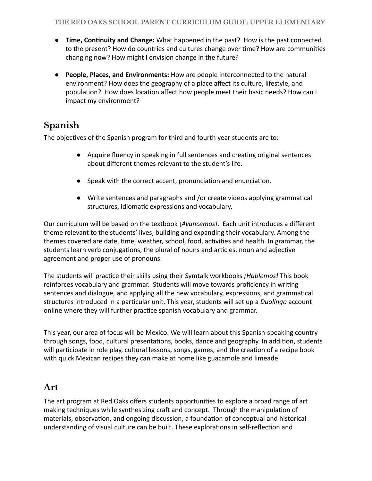- **Time, Continuity and Change:** What happened in the past? How is the past connected to the present? How do countries and cultures change over time? How are communities changing now? How might I envision change in the future?
- **People, Places, and Environments:** How are people interconnected to the natural environment? How does the geography of a place affect its culture, lifestyle, and population? How does location affect how people meet their basic needs? How can I impact my environment?

#### **Spanish**

The objectives of the Spanish program for third and fourth year students are to:

- Acquire fluency in speaking in full sentences and creating original sentences about different themes relevant to the student's life.
- $\bullet$  Speak with the correct accent, pronunciation and enunciation.
- Write sentences and paragraphs and /or create videos applying grammatical structures, idiomatic expressions and vocabulary.

Our curriculum will be based on the textbook ¡ *Avancemos!* . Each unit introduces a different theme relevant to the students' lives, building and expanding their vocabulary. Among the themes covered are date, time, weather, school, food, activities and health. In grammar, the students learn verb conjugations, the plural of nouns and articles, noun and adjective agreement and proper use of pronouns.

The students will practice their skills using their Symtalk workbooks *¡Hablemos!* This book reinforces vocabulary and grammar. Students will move towards proficiency in wring sentences and dialogue, and applying all the new vocabulary, expressions, and grammatical structures introduced in a particular unit. This year, students will set up a *Duolingo* account online where they will further practice spanish vocabulary and grammar.

This year, our area of focus will be Mexico. We will learn about this Spanish-speaking country through songs, food, cultural presentations, books, dance and geography. In addition, students will participate in role play, cultural lessons, songs, games, and the creation of a recipe book with quick Mexican recipes they can make at home like guacamole and limeade.

#### **Art**

The art program at Red Oaks offers students opportunities to explore a broad range of art making techniques while synthesizing craft and concept. Through the manipulation of materials, observation, and ongoing discussion, a foundation of conceptual and historical understanding of visual culture can be built. These explorations in self-reflection and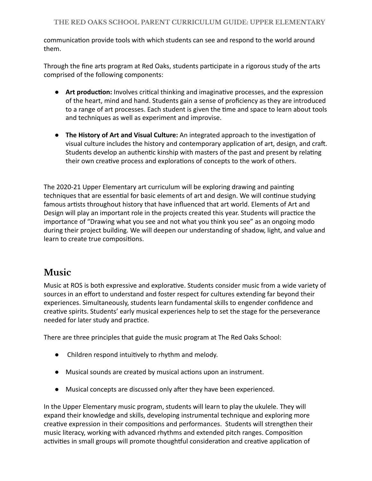communication provide tools with which students can see and respond to the world around them.

Through the fine arts program at Red Oaks, students participate in a rigorous study of the arts comprised of the following components:

- **Art production:** Involves critical thinking and imaginative processes, and the expression of the heart, mind and hand. Students gain a sense of proficiency as they are introduced to a range of art processes. Each student is given the time and space to learn about tools and techniques as well as experiment and improvise.
- **The History of Art and Visual Culture:** An integrated approach to the investigation of visual culture includes the history and contemporary application of art, design, and craft. Students develop an authentic kinship with masters of the past and present by relating their own creative process and explorations of concepts to the work of others.

The 2020-21 Upper Elementary art curriculum will be exploring drawing and painting techniques that are essential for basic elements of art and design. We will continue studying famous artists throughout history that have influenced that art world. Elements of Art and Design will play an important role in the projects created this year. Students will practice the importance of "Drawing what you see and not what you think you see" as an ongoing modo during their project building. We will deepen our understanding of shadow, light, and value and learn to create true compositions.

#### **Music**

Music at ROS is both expressive and explorative. Students consider music from a wide variety of sources in an effort to understand and foster respect for cultures extending far beyond their experiences. Simultaneously, students learn fundamental skills to engender confidence and creative spirits. Students' early musical experiences help to set the stage for the perseverance needed for later study and practice.

There are three principles that guide the music program at The Red Oaks School:

- Children respond intuively to rhythm and melody.
- Musical sounds are created by musical actions upon an instrument.
- Musical concepts are discussed only after they have been experienced.

In the Upper Elementary music program, students will learn to play the ukulele. They will expand their knowledge and skills, developing instrumental technique and exploring more creative expression in their compositions and performances. Students will strengthen their music literacy, working with advanced rhythms and extended pitch ranges. Composition activities in small groups will promote thoughtful consideration and creative application of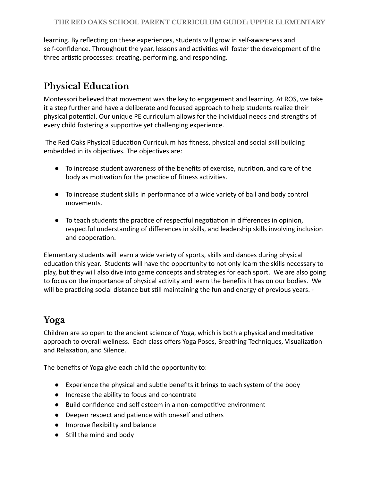learning. By reflecting on these experiences, students will grow in self-awareness and self-confidence. Throughout the year, lessons and activities will foster the development of the three artistic processes: creating, performing, and responding.

### **Physical Education**

Montessori believed that movement was the key to engagement and learning. At ROS, we take it a step further and have a deliberate and focused approach to help students realize their physical potential. Our unique PE curriculum allows for the individual needs and strengths of every child fostering a supportive yet challenging experience.

The Red Oaks Physical Education Curriculum has fitness, physical and social skill building embedded in its objectives. The objectives are:

- To increase student awareness of the benefits of exercise, nutrition, and care of the body as motivation for the practice of fitness activities.
- To increase student skills in performance of a wide variety of ball and body control movements.
- To teach students the practice of respectful negotiation in differences in opinion, respectful understanding of differences in skills, and leadership skills involving inclusion and cooperation.

Elementary students will learn a wide variety of sports, skills and dances during physical education this year. Students will have the opportunity to not only learn the skills necessary to play, but they will also dive into game concepts and strategies for each sport. We are also going to focus on the importance of physical activity and learn the benefits it has on our bodies. We will be practicing social distance but still maintaining the fun and energy of previous years. -

#### **Yoga**

Children are so open to the ancient science of Yoga, which is both a physical and meditative approach to overall wellness. Each class offers Yoga Poses, Breathing Techniques, Visualization and Relaxation, and Silence.

The benefits of Yoga give each child the opportunity to:

- Experience the physical and subtle benefits it brings to each system of the body
- Increase the ability to focus and concentrate
- Build confidence and self esteem in a non-competitive environment
- Deepen respect and patience with oneself and others
- Improve flexibility and balance
- Still the mind and body